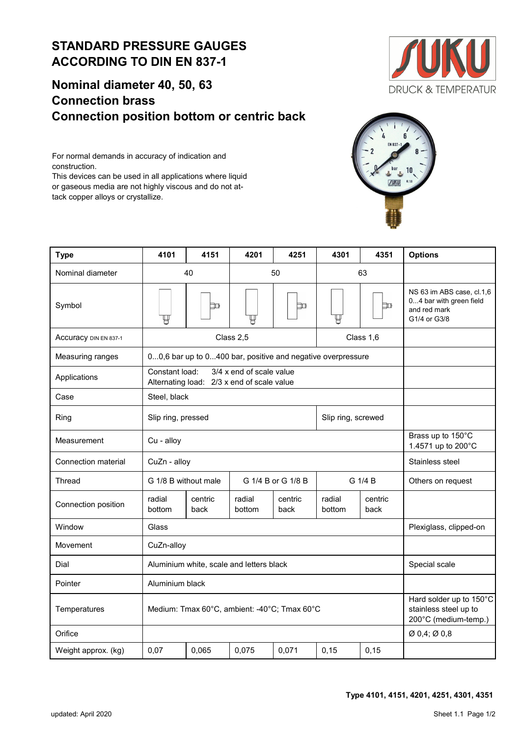## **Nominal diameter 40, 50, 63 Connection brass Connection position bottom or centric back**

For normal demands in accuracy of indication and construction. This devices can be used in all applications where liquid or gaseous media are not highly viscous and do not at-

tack copper alloys or crystallize.





| <b>Type</b>           | 4101                                       | 4151                                                                   | 4201                                                                     | 4251            | 4301               | 4351            | <b>Options</b>                                                                       |  |
|-----------------------|--------------------------------------------|------------------------------------------------------------------------|--------------------------------------------------------------------------|-----------------|--------------------|-----------------|--------------------------------------------------------------------------------------|--|
| Nominal diameter      | 40                                         |                                                                        | 50                                                                       |                 | 63                 |                 |                                                                                      |  |
| Symbol                |                                            | Þш                                                                     |                                                                          | Þш              |                    | þо              | NS 63 im ABS case, cl.1,6<br>04 bar with green field<br>and red mark<br>G1/4 or G3/8 |  |
| Accuracy DIN EN 837-1 | Class 1,6<br>Class 2,5                     |                                                                        |                                                                          |                 |                    |                 |                                                                                      |  |
| Measuring ranges      |                                            | 00,6 bar up to 0400 bar, positive and negative overpressure            |                                                                          |                 |                    |                 |                                                                                      |  |
| Applications          | Constant load:                             | 3/4 x end of scale value<br>Alternating load: 2/3 x end of scale value |                                                                          |                 |                    |                 |                                                                                      |  |
| Case                  | Steel, black                               |                                                                        |                                                                          |                 |                    |                 |                                                                                      |  |
| Ring                  | Slip ring, pressed                         |                                                                        |                                                                          |                 | Slip ring, screwed |                 |                                                                                      |  |
| Measurement           | Cu - alloy                                 |                                                                        | Brass up to 150°C<br>1.4571 up to 200°C                                  |                 |                    |                 |                                                                                      |  |
| Connection material   | CuZn - alloy                               |                                                                        | Stainless steel                                                          |                 |                    |                 |                                                                                      |  |
| Thread                | G 1/4 B or G 1/8 B<br>G 1/8 B without male |                                                                        |                                                                          |                 |                    | G 1/4 B         | Others on request                                                                    |  |
| Connection position   | radial<br>bottom                           | centric<br>back                                                        | radial<br>bottom                                                         | centric<br>back | radial<br>bottom   | centric<br>back |                                                                                      |  |
| Window                | Glass                                      |                                                                        | Plexiglass, clipped-on                                                   |                 |                    |                 |                                                                                      |  |
| Movement              | CuZn-alloy                                 |                                                                        |                                                                          |                 |                    |                 |                                                                                      |  |
| Dial                  |                                            | Aluminium white, scale and letters black                               | Special scale                                                            |                 |                    |                 |                                                                                      |  |
| Pointer               | Aluminium black                            |                                                                        |                                                                          |                 |                    |                 |                                                                                      |  |
| Temperatures          |                                            | Medium: Tmax 60°C, ambient: -40°C; Tmax 60°C                           | Hard solder up to 150°C<br>stainless steel up to<br>200°C (medium-temp.) |                 |                    |                 |                                                                                      |  |
| Orifice               |                                            | $\varnothing$ 0,4; $\varnothing$ 0,8                                   |                                                                          |                 |                    |                 |                                                                                      |  |
| Weight approx. (kg)   | 0,07                                       | 0,065                                                                  | 0,075                                                                    | 0,071           | 0, 15              | 0,15            |                                                                                      |  |